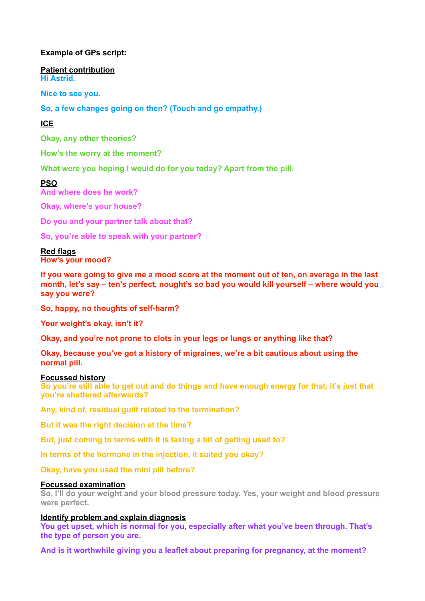### **Example of GPs script:**

**Patient contribution Hi Astrid.** 

**Nice to see you.** 

**So, a few changes going on then? (Touch and go empathy.)** 

## **ICE**

**Okay, any other theories?** 

**How's the worry at the moment?** 

**What were you hoping I would do for you today? Apart from the pill.** 

### **PSO**

**And where does he work?** 

**Okay, where's your house?** 

**Do you and your partner talk about that?** 

**So, you're able to speak with your partner?** 

# **Red flags**

**How's your mood?** 

**If you were going to give me a mood score at the moment out of ten, on average in the last month, let's say – ten's perfect, nought's so bad you would kill yourself – where would you say you were?** 

**So, happy, no thoughts of self-harm?** 

**Your weight's okay, isn't it?** 

**Okay, and you're not prone to clots in your legs or lungs or anything like that?** 

**Okay, because you've got a history of migraines, we're a bit cautious about using the normal pill.** 

#### **Focussed history**

**So you're still able to get out and do things and have enough energy for that, it's just that you're shattered afterwards?** 

**Any, kind of, residual guilt related to the termination?** 

**But it was the right decision at the time?** 

**But, just coming to terms with it is taking a bit of getting used to?** 

**In terms of the hormone in the injection, it suited you okay?** 

**Okay, have you used the mini pill before?**

#### **Focussed examination**

**So, I'll do your weight and your blood pressure today. Yes, your weight and blood pressure were perfect.** 

### **Identify problem and explain diagnosis**

**You get upset, which is normal for you, especially after what you've been through. That's the type of person you are.**

**And is it worthwhile giving you a leaflet about preparing for pregnancy, at the moment?**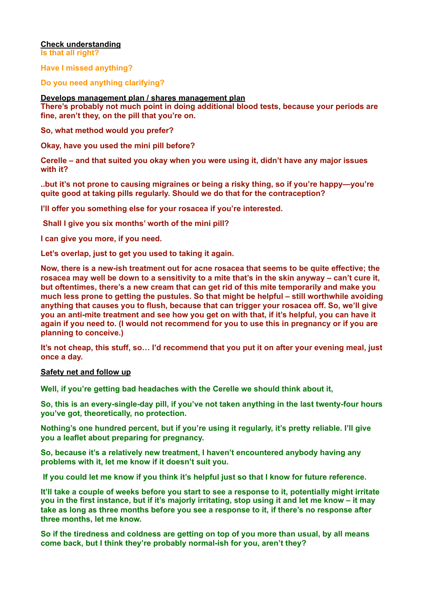### **Check understanding**

**Is that all right?** 

**Have I missed anything?** 

**Do you need anything clarifying?** 

**Develops management plan / shares management plan** 

**There's probably not much point in doing additional blood tests, because your periods are fine, aren't they, on the pill that you're on.** 

**So, what method would you prefer?** 

**Okay, have you used the mini pill before?** 

**Cerelle – and that suited you okay when you were using it, didn't have any major issues with it?** 

**..but it's not prone to causing migraines or being a risky thing, so if you're happy—you're quite good at taking pills regularly. Should we do that for the contraception?** 

**I'll offer you something else for your rosacea if you're interested.** 

 **Shall I give you six months' worth of the mini pill?** 

**I can give you more, if you need.** 

**Let's overlap, just to get you used to taking it again.** 

**Now, there is a new-ish treatment out for acne rosacea that seems to be quite effective; the rosacea may well be down to a sensitivity to a mite that's in the skin anyway – can't cure it, but oftentimes, there's a new cream that can get rid of this mite temporarily and make you much less prone to getting the pustules. So that might be helpful – still worthwhile avoiding anything that causes you to flush, because that can trigger your rosacea off. So, we'll give you an anti-mite treatment and see how you get on with that, if it's helpful, you can have it again if you need to. (I would not recommend for you to use this in pregnancy or if you are planning to conceive.)** 

**It's not cheap, this stuff, so… I'd recommend that you put it on after your evening meal, just once a day.** 

### **Safety net and follow up**

**Well, if you're getting bad headaches with the Cerelle we should think about it,** 

**So, this is an every-single-day pill, if you've not taken anything in the last twenty-four hours you've got, theoretically, no protection.** 

**Nothing's one hundred percent, but if you're using it regularly, it's pretty reliable. I'll give you a leaflet about preparing for pregnancy.** 

**So, because it's a relatively new treatment, I haven't encountered anybody having any problems with it, let me know if it doesn't suit you.** 

 **If you could let me know if you think it's helpful just so that I know for future reference.** 

**It'll take a couple of weeks before you start to see a response to it, potentially might irritate you in the first instance, but if it's majorly irritating, stop using it and let me know – it may take as long as three months before you see a response to it, if there's no response after three months, let me know.** 

**So if the tiredness and coldness are getting on top of you more than usual, by all means come back, but I think they're probably normal-ish for you, aren't they?**